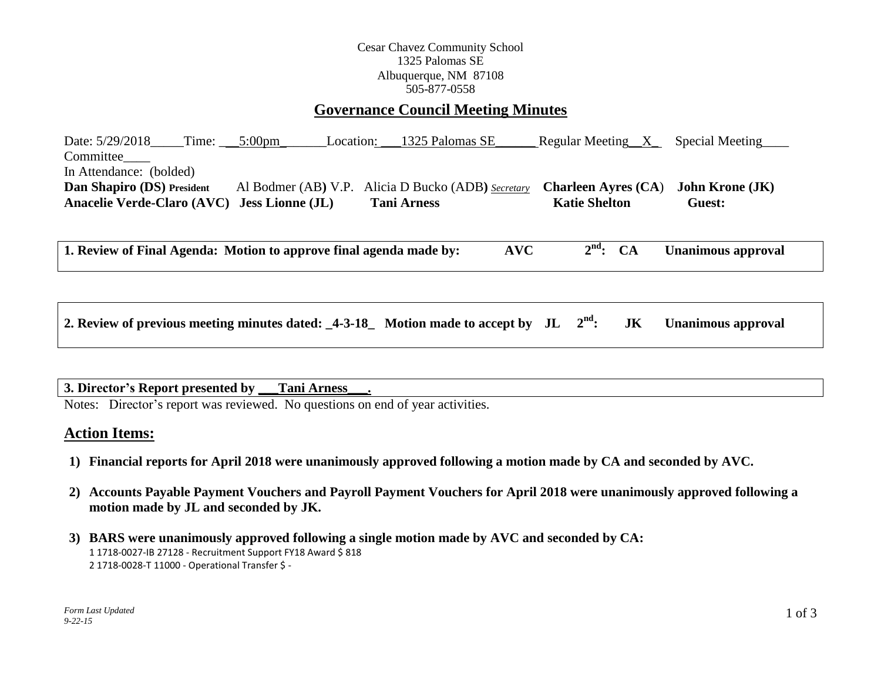### Cesar Chavez Community School 1325 Palomas SE Albuquerque, NM 87108 505-877-0558

# **Governance Council Meeting Minutes**

Date:  $5/29/2018$  Time:  $5:00 \text{pm}$  Location:  $1325$  Palomas SE Regular Meeting X Special Meeting Committee In Attendance: (bolded) **Dan Shapiro (DS) President** Al Bodmer (AB**)** V.P. Alicia D Bucko (ADB**)** *Secretary* **Charleen Ayres (CA**) **John Krone (JK) Anacelie Verde-Claro (AVC) Jess Lionne (JL) Tani Arness Katie Shelton Guest:** 

**1. Review of Final Agenda: Motion to approve final agenda made by: AVC 2 nd: CA Unanimous approval**

| 2. Review of previous meeting minutes dated: $\text{14-3-18}_{-}$ Motion made to accept by JL $2^{\text{nd}}$ : JK Unanimous approval |  |  |  |  |
|---------------------------------------------------------------------------------------------------------------------------------------|--|--|--|--|
|---------------------------------------------------------------------------------------------------------------------------------------|--|--|--|--|

## **3. Director's Report presented by \_\_\_Tani Arness\_\_\_.**

Notes: Director's report was reviewed. No questions on end of year activities.

### **Action Items:**

- **1) Financial reports for April 2018 were unanimously approved following a motion made by CA and seconded by AVC.**
- **2) Accounts Payable Payment Vouchers and Payroll Payment Vouchers for April 2018 were unanimously approved following a motion made by JL and seconded by JK.**
- **3) BARS were unanimously approved following a single motion made by AVC and seconded by CA:** 1 1718-0027-IB 27128 - Recruitment Support FY18 Award \$ 818 2 1718-0028-T 11000 - Operational Transfer \$ -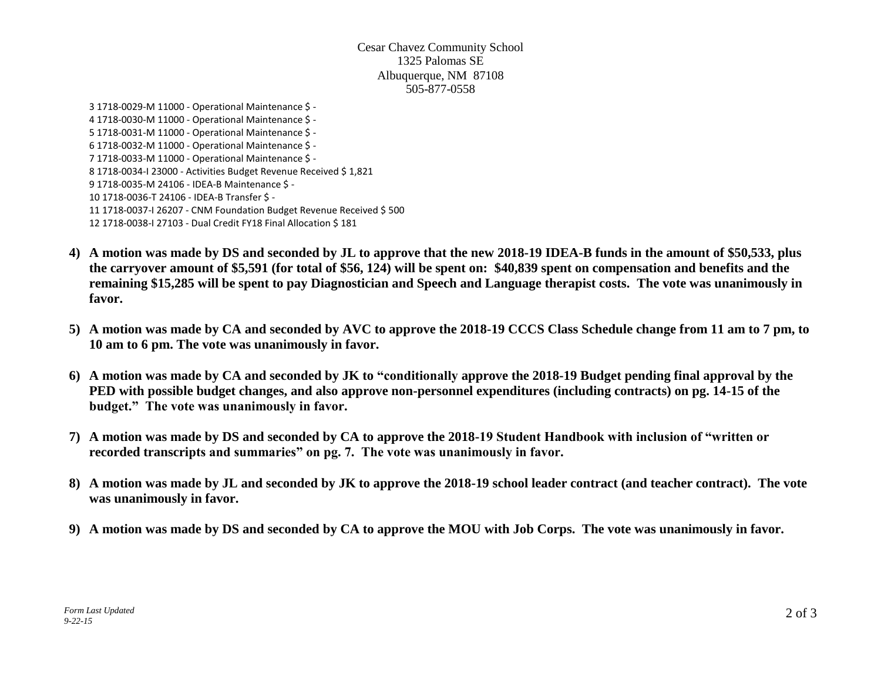#### Cesar Chavez Community School 1325 Palomas SE Albuquerque, NM 87108 505-877-0558

3 1718-0029-M 11000 - Operational Maintenance \$ - 4 1718-0030-M 11000 - Operational Maintenance \$ - 5 1718-0031-M 11000 - Operational Maintenance \$ - 6 1718-0032-M 11000 - Operational Maintenance \$ - 7 1718-0033-M 11000 - Operational Maintenance \$ - 8 1718-0034-I 23000 - Activities Budget Revenue Received \$ 1,821 9 1718-0035-M 24106 - IDEA-B Maintenance \$ - 10 1718-0036-T 24106 - IDEA-B Transfer \$ - 11 1718-0037-I 26207 - CNM Foundation Budget Revenue Received \$ 500 12 1718-0038-I 27103 - Dual Credit FY18 Final Allocation \$ 181

- **4) A motion was made by DS and seconded by JL to approve that the new 2018-19 IDEA-B funds in the amount of \$50,533, plus the carryover amount of \$5,591 (for total of \$56, 124) will be spent on: \$40,839 spent on compensation and benefits and the remaining \$15,285 will be spent to pay Diagnostician and Speech and Language therapist costs. The vote was unanimously in favor.**
- **5) A motion was made by CA and seconded by AVC to approve the 2018-19 CCCS Class Schedule change from 11 am to 7 pm, to 10 am to 6 pm. The vote was unanimously in favor.**
- **6) A motion was made by CA and seconded by JK to "conditionally approve the 2018-19 Budget pending final approval by the PED with possible budget changes, and also approve non-personnel expenditures (including contracts) on pg. 14-15 of the budget." The vote was unanimously in favor.**
- **7) A motion was made by DS and seconded by CA to approve the 2018-19 Student Handbook with inclusion of "written or recorded transcripts and summaries" on pg. 7. The vote was unanimously in favor.**
- **8) A motion was made by JL and seconded by JK to approve the 2018-19 school leader contract (and teacher contract). The vote was unanimously in favor.**
- **9) A motion was made by DS and seconded by CA to approve the MOU with Job Corps. The vote was unanimously in favor.**